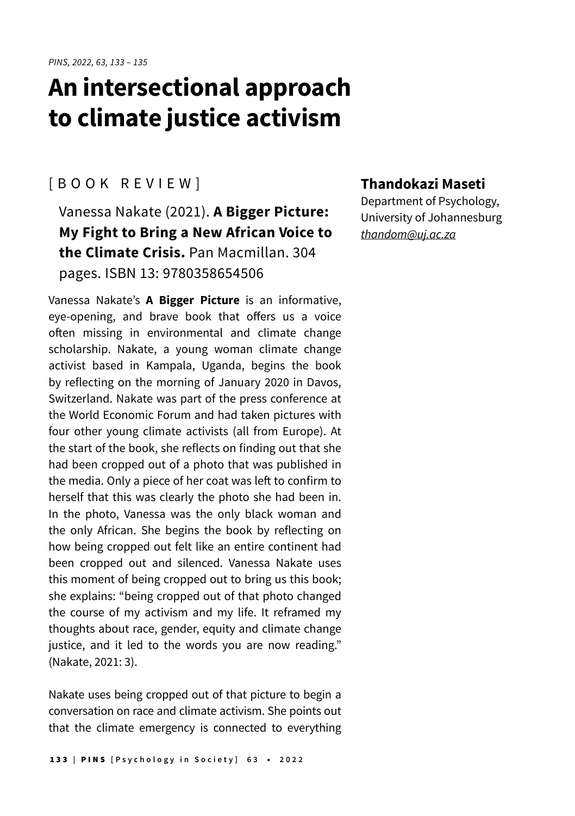## **An intersectional approach to climate justice activism**

## [BOOK REVIEW]

Vanessa Nakate (2021). **A Bigger Picture: My Fight to Bring a New African Voice to the Climate Crisis.** Pan Macmillan. 304 pages. ISBN 13: 9780358654506

Vanessa Nakate's **A Bigger Picture** is an informative, eye-opening, and brave book that offers us a voice often missing in environmental and climate change scholarship. Nakate, a young woman climate change activist based in Kampala, Uganda, begins the book by reflecting on the morning of January 2020 in Davos, Switzerland. Nakate was part of the press conference at the World Economic Forum and had taken pictures with four other young climate activists (all from Europe). At the start of the book, she reflects on finding out that she had been cropped out of a photo that was published in the media. Only a piece of her coat was left to confirm to herself that this was clearly the photo she had been in. In the photo, Vanessa was the only black woman and the only African. She begins the book by reflecting on how being cropped out felt like an entire continent had been cropped out and silenced. Vanessa Nakate uses this moment of being cropped out to bring us this book; she explains: "being cropped out of that photo changed the course of my activism and my life. It reframed my thoughts about race, gender, equity and climate change justice, and it led to the words you are now reading." (Nakate, 2021: 3).

Nakate uses being cropped out of that picture to begin a conversation on race and climate activism. She points out that the climate emergency is connected to everything

## **Thandokazi Maseti**

Department of Psychology, University of Johannesburg [thandom@uj.ac.za](mailto:thandom@uj.ac.za)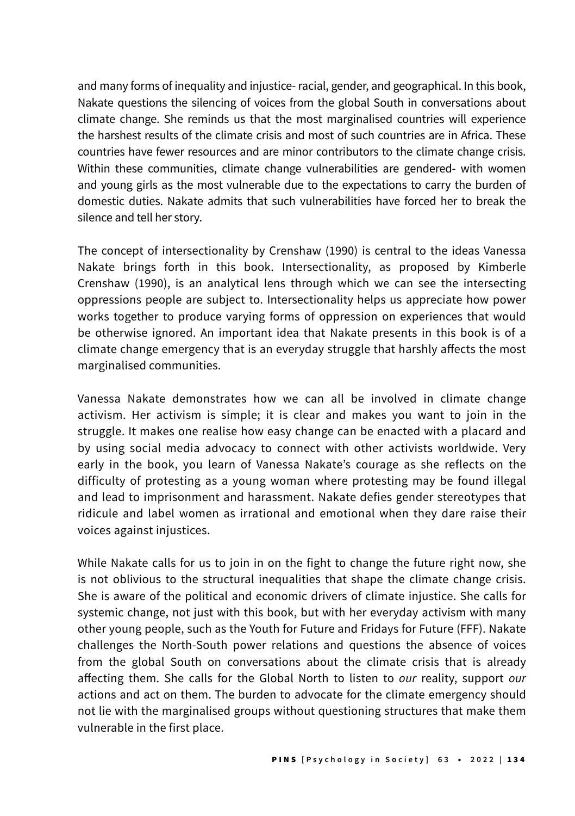and many forms of inequality and injustice- racial, gender, and geographical. In this book, Nakate questions the silencing of voices from the global South in conversations about climate change. She reminds us that the most marginalised countries will experience the harshest results of the climate crisis and most of such countries are in Africa. These countries have fewer resources and are minor contributors to the climate change crisis. Within these communities, climate change vulnerabilities are gendered- with women and young girls as the most vulnerable due to the expectations to carry the burden of domestic duties. Nakate admits that such vulnerabilities have forced her to break the silence and tell her story.

The concept of intersectionality by Crenshaw (1990) is central to the ideas Vanessa Nakate brings forth in this book. Intersectionality, as proposed by Kimberle Crenshaw (1990), is an analytical lens through which we can see the intersecting oppressions people are subject to. Intersectionality helps us appreciate how power works together to produce varying forms of oppression on experiences that would be otherwise ignored. An important idea that Nakate presents in this book is of a climate change emergency that is an everyday struggle that harshly affects the most marginalised communities.

Vanessa Nakate demonstrates how we can all be involved in climate change activism. Her activism is simple; it is clear and makes you want to join in the struggle. It makes one realise how easy change can be enacted with a placard and by using social media advocacy to connect with other activists worldwide. Very early in the book, you learn of Vanessa Nakate's courage as she reflects on the difficulty of protesting as a young woman where protesting may be found illegal and lead to imprisonment and harassment. Nakate defies gender stereotypes that ridicule and label women as irrational and emotional when they dare raise their voices against injustices.

While Nakate calls for us to join in on the fight to change the future right now, she is not oblivious to the structural inequalities that shape the climate change crisis. She is aware of the political and economic drivers of climate injustice. She calls for systemic change, not just with this book, but with her everyday activism with many other young people, such as the Youth for Future and Fridays for Future (FFF). Nakate challenges the North-South power relations and questions the absence of voices from the global South on conversations about the climate crisis that is already affecting them. She calls for the Global North to listen to our reality, support our actions and act on them. The burden to advocate for the climate emergency should not lie with the marginalised groups without questioning structures that make them vulnerable in the first place.